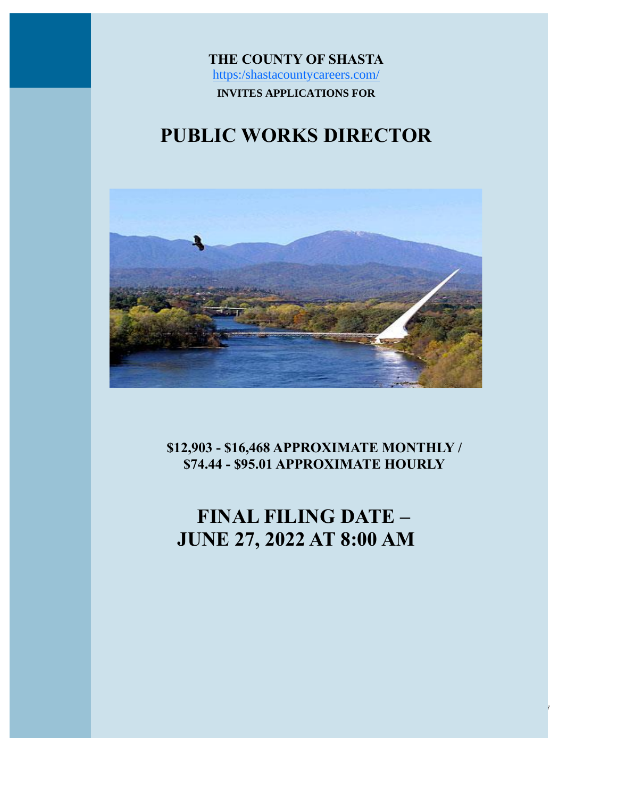**THE COUNTY OF SHASTA** [https:/shastacountycareers.com/](http://agency.governmentjobs.com/shasta/default.cfm) **INVITES APPLICATIONS FOR**

# **PUBLIC WORKS DIRECTOR**



**\$12,903 - \$16,468 APPROXIMATE MONTHLY / \$74.44 - \$95.01 APPROXIMATE HOURLY**

# **FINAL FILING DATE – JUNE 27, 2022 AT 8:00 AM**

PUBLIC WORKS DIRECTOR Shasta County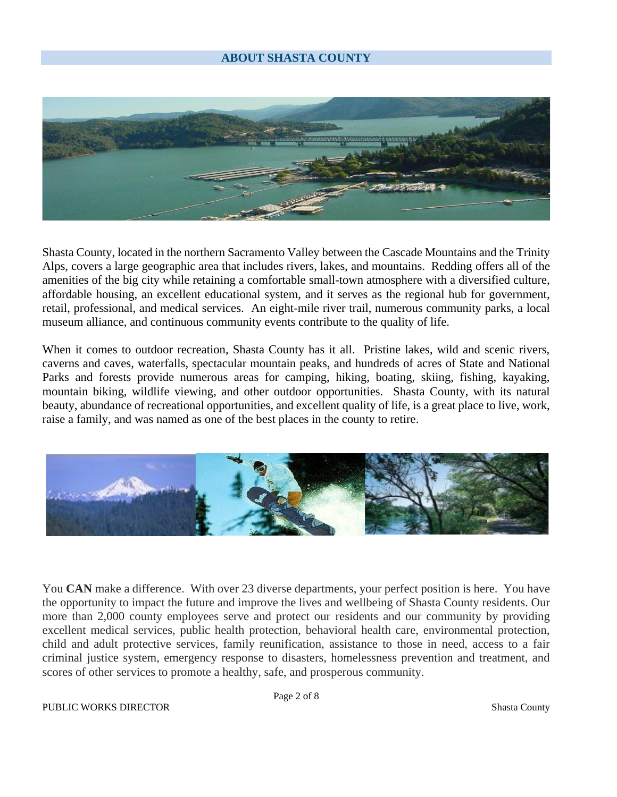### **ABOUT SHASTA COUNTY**



Shasta County, located in the northern Sacramento Valley between the Cascade Mountains and the Trinity Alps, covers a large geographic area that includes rivers, lakes, and mountains. Redding offers all of the amenities of the big city while retaining a comfortable small-town atmosphere with a diversified culture, affordable housing, an excellent educational system, and it serves as the regional hub for government, retail, professional, and medical services. An eight-mile river trail, numerous community parks, a local museum alliance, and continuous community events contribute to the quality of life.

When it comes to outdoor recreation, Shasta County has it all. Pristine lakes, wild and scenic rivers, caverns and caves, waterfalls, spectacular mountain peaks, and hundreds of acres of State and National Parks and forests provide numerous areas for camping, hiking, boating, skiing, fishing, kayaking, mountain biking, wildlife viewing, and other outdoor opportunities. Shasta County, with its natural beauty, abundance of recreational opportunities, and excellent quality of life, is a great place to live, work, raise a family, and was named as one of the best places in the county to retire.



You **CAN** make a difference. With over 23 diverse departments, your perfect position is here. You have the opportunity to impact the future and improve the lives and wellbeing of Shasta County residents. Our more than 2,000 county employees serve and protect our residents and our community by providing excellent medical services, public health protection, behavioral health care, environmental protection, child and adult protective services, family reunification, assistance to those in need, access to a fair criminal justice system, emergency response to disasters, homelessness prevention and treatment, and scores of other services to promote a healthy, safe, and prosperous community.

Page 2 of 8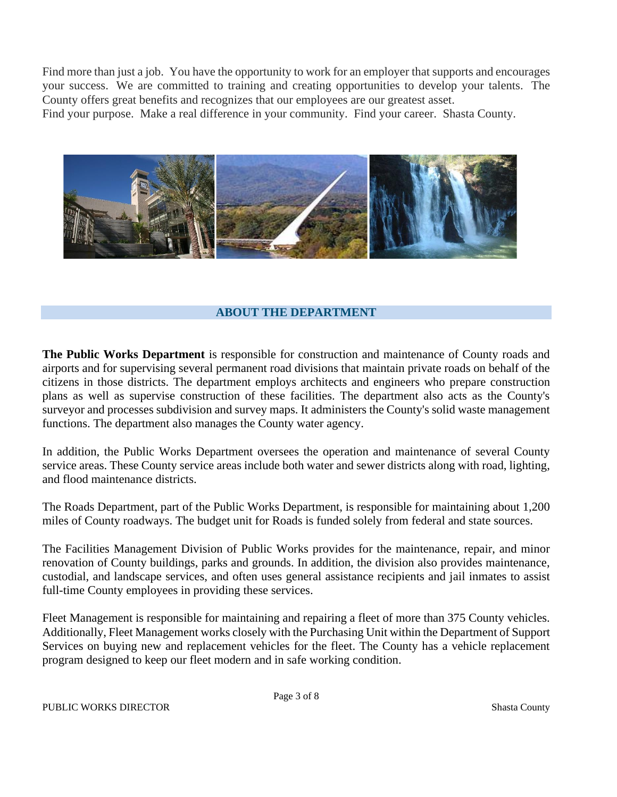Find more than just a job. You have the opportunity to work for an employer that supports and encourages your success. We are committed to training and creating opportunities to develop your talents. The County offers great benefits and recognizes that our employees are our greatest asset.

Find your purpose. Make a real difference in your community. Find your career. Shasta County.



# **ABOUT THE DEPARTMENT**

**The Public Works Department** is responsible for construction and maintenance of County roads and airports and for supervising several permanent road divisions that maintain private roads on behalf of the citizens in those districts. The department employs architects and engineers who prepare construction plans as well as supervise construction of these facilities. The department also acts as the County's surveyor and processes subdivision and survey maps. It administers the County's solid waste management functions. The department also manages the County water agency.

In addition, the Public Works Department oversees the operation and maintenance of several County service areas. These County service areas include both water and sewer districts along with road, lighting, and flood maintenance districts.

The Roads Department, part of the Public Works Department, is responsible for maintaining about 1,200 miles of County roadways. The budget unit for Roads is funded solely from federal and state sources.

The Facilities Management Division of Public Works provides for the maintenance, repair, and minor renovation of County buildings, parks and grounds. In addition, the division also provides maintenance, custodial, and landscape services, and often uses general assistance recipients and jail inmates to assist full-time County employees in providing these services.

Fleet Management is responsible for maintaining and repairing a fleet of more than 375 County vehicles. Additionally, Fleet Management works closely with the Purchasing Unit within the Department of Support Services on buying new and replacement vehicles for the fleet. The County has a vehicle replacement program designed to keep our fleet modern and in safe working condition.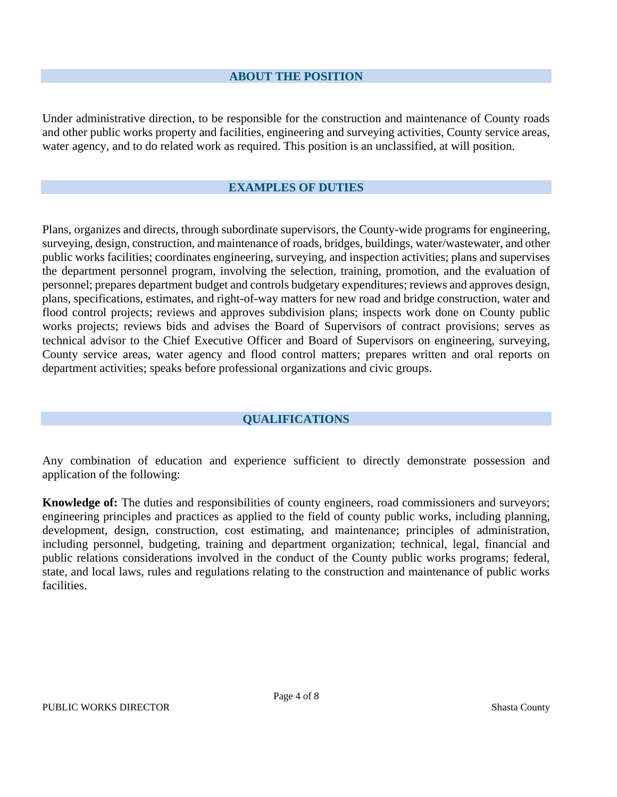#### **ABOUT THE POSITION**

Under administrative direction, to be responsible for the construction and maintenance of County roads and other public works property and facilities, engineering and surveying activities, County service areas, water agency, and to do related work as required. This position is an unclassified, at will position.

### **EXAMPLES OF DUTIES**

Plans, organizes and directs, through subordinate supervisors, the County-wide programs for engineering, surveying, design, construction, and maintenance of roads, bridges, buildings, water/wastewater, and other public works facilities; coordinates engineering, surveying, and inspection activities; plans and supervises the department personnel program, involving the selection, training, promotion, and the evaluation of personnel; prepares department budget and controls budgetary expenditures; reviews and approves design, plans, specifications, estimates, and right-of-way matters for new road and bridge construction, water and flood control projects; reviews and approves subdivision plans; inspects work done on County public works projects; reviews bids and advises the Board of Supervisors of contract provisions; serves as technical advisor to the Chief Executive Officer and Board of Supervisors on engineering, surveying, County service areas, water agency and flood control matters; prepares written and oral reports on department activities; speaks before professional organizations and civic groups.

#### **QUALIFICATIONS**

Any combination of education and experience sufficient to directly demonstrate possession and application of the following:

**Knowledge of:** The duties and responsibilities of county engineers, road commissioners and surveyors; engineering principles and practices as applied to the field of county public works, including planning, development, design, construction, cost estimating, and maintenance; principles of administration, including personnel, budgeting, training and department organization; technical, legal, financial and public relations considerations involved in the conduct of the County public works programs; federal, state, and local laws, rules and regulations relating to the construction and maintenance of public works facilities.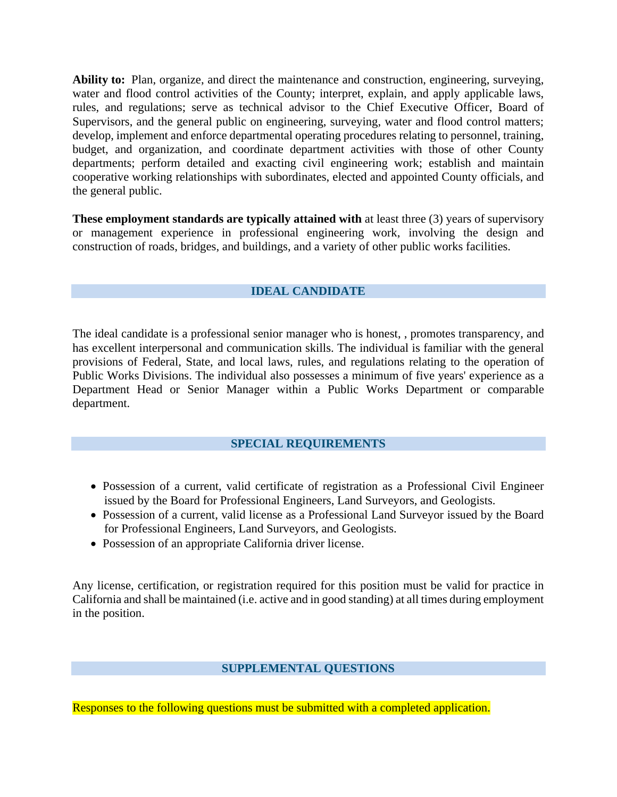**Ability to:** Plan, organize, and direct the maintenance and construction, engineering, surveying, water and flood control activities of the County; interpret, explain, and apply applicable laws, rules, and regulations; serve as technical advisor to the Chief Executive Officer, Board of Supervisors, and the general public on engineering, surveying, water and flood control matters; develop, implement and enforce departmental operating procedures relating to personnel, training, budget, and organization, and coordinate department activities with those of other County departments; perform detailed and exacting civil engineering work; establish and maintain cooperative working relationships with subordinates, elected and appointed County officials, and the general public.

**These employment standards are typically attained with** at least three (3) years of supervisory or management experience in professional engineering work, involving the design and construction of roads, bridges, and buildings, and a variety of other public works facilities.

# **IDEAL CANDIDATE**

The ideal candidate is a professional senior manager who is honest, , promotes transparency, and has excellent interpersonal and communication skills. The individual is familiar with the general provisions of Federal, State, and local laws, rules, and regulations relating to the operation of Public Works Divisions. The individual also possesses a minimum of five years' experience as a Department Head or Senior Manager within a Public Works Department or comparable department.

#### **SPECIAL REQUIREMENTS**

- Possession of a current, valid certificate of registration as a Professional Civil Engineer issued by the Board for Professional Engineers, Land Surveyors, and Geologists.
- Possession of a current, valid license as a Professional Land Surveyor issued by the Board for Professional Engineers, Land Surveyors, and Geologists.
- Possession of an appropriate California driver license.

Any license, certification, or registration required for this position must be valid for practice in California and shall be maintained (i.e. active and in good standing) at all times during employment in the position.

#### **SUPPLEMENTAL QUESTIONS**

Responses to the following questions must be submitted with a completed application.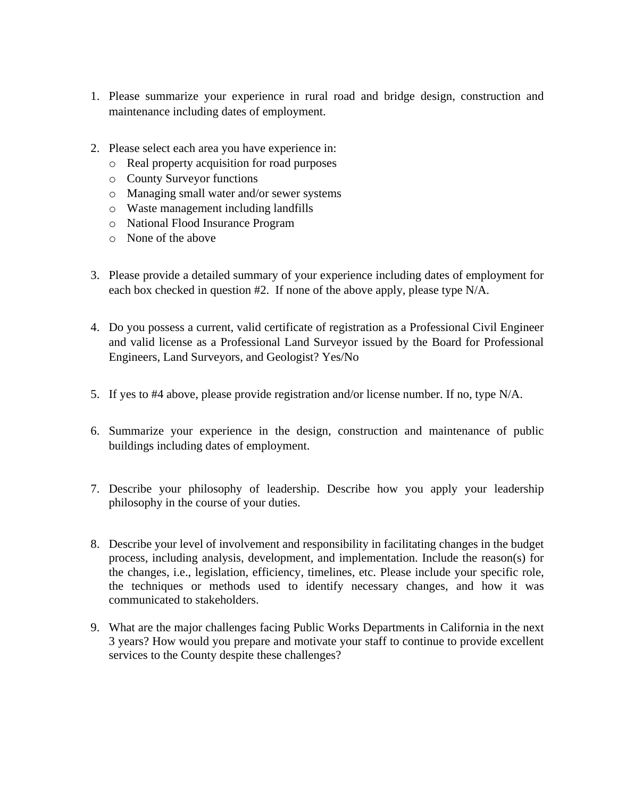- 1. Please summarize your experience in rural road and bridge design, construction and maintenance including dates of employment.
- 2. Please select each area you have experience in:
	- o Real property acquisition for road purposes
	- o County Surveyor functions
	- o Managing small water and/or sewer systems
	- o Waste management including landfills
	- o National Flood Insurance Program
	- o None of the above
- 3. Please provide a detailed summary of your experience including dates of employment for each box checked in question #2. If none of the above apply, please type N/A.
- 4. Do you possess a current, valid certificate of registration as a Professional Civil Engineer and valid license as a Professional Land Surveyor issued by the Board for Professional Engineers, Land Surveyors, and Geologist? Yes/No
- 5. If yes to #4 above, please provide registration and/or license number. If no, type N/A.
- 6. Summarize your experience in the design, construction and maintenance of public buildings including dates of employment.
- 7. Describe your philosophy of leadership. Describe how you apply your leadership philosophy in the course of your duties.
- 8. Describe your level of involvement and responsibility in facilitating changes in the budget process, including analysis, development, and implementation. Include the reason(s) for the changes, i.e., legislation, efficiency, timelines, etc. Please include your specific role, the techniques or methods used to identify necessary changes, and how it was communicated to stakeholders.
- 9. What are the major challenges facing Public Works Departments in California in the next 3 years? How would you prepare and motivate your staff to continue to provide excellent services to the County despite these challenges?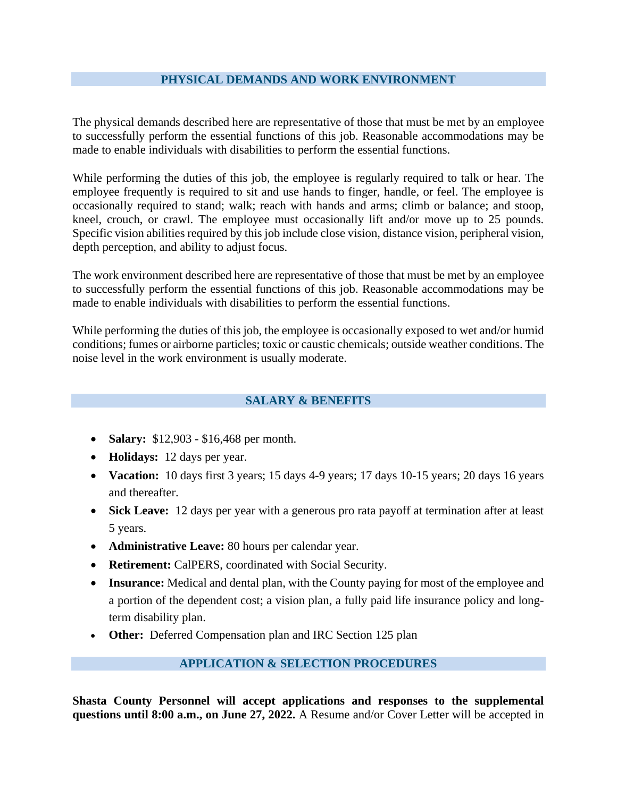## **PHYSICAL DEMANDS AND WORK ENVIRONMENT**

The physical demands described here are representative of those that must be met by an employee to successfully perform the essential functions of this job. Reasonable accommodations may be made to enable individuals with disabilities to perform the essential functions.

While performing the duties of this job, the employee is regularly required to talk or hear. The employee frequently is required to sit and use hands to finger, handle, or feel. The employee is occasionally required to stand; walk; reach with hands and arms; climb or balance; and stoop, kneel, crouch, or crawl. The employee must occasionally lift and/or move up to 25 pounds. Specific vision abilities required by this job include close vision, distance vision, peripheral vision, depth perception, and ability to adjust focus.

The work environment described here are representative of those that must be met by an employee to successfully perform the essential functions of this job. Reasonable accommodations may be made to enable individuals with disabilities to perform the essential functions.

While performing the duties of this job, the employee is occasionally exposed to wet and/or humid conditions; fumes or airborne particles; toxic or caustic chemicals; outside weather conditions. The noise level in the work environment is usually moderate.

# **SALARY & BENEFITS**

- **Salary:**  $$12,903 $16,468$  per month.
- **Holidays:** 12 days per year.
- **Vacation:** 10 days first 3 years; 15 days 4-9 years; 17 days 10-15 years; 20 days 16 years and thereafter.
- **Sick Leave:** 12 days per year with a generous pro rata payoff at termination after at least 5 years.
- **Administrative Leave:** 80 hours per calendar year.
- **Retirement:** CalPERS, coordinated with Social Security.
- **Insurance:** Medical and dental plan, with the County paying for most of the employee and a portion of the dependent cost; a vision plan, a fully paid life insurance policy and longterm disability plan.
- **Other:** Deferred Compensation plan and IRC Section 125 plan

# **APPLICATION & SELECTION PROCEDURES**

**Shasta County Personnel will accept applications and responses to the supplemental questions until 8:00 a.m., on June 27, 2022.** A Resume and/or Cover Letter will be accepted in